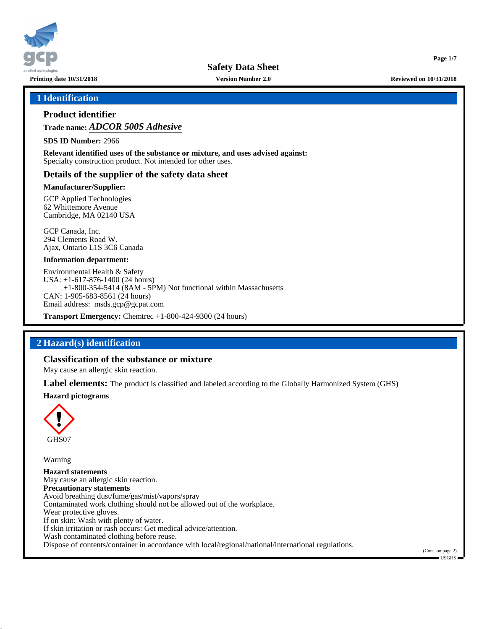

**Printing date 10/31/2018 Version Number 2.0 Reviewed on 10/31/2018**

**Page 1/7**

## **1 Identification**

# **Product identifier**

**Trade name:** *ADCOR 500S Adhesive*

**SDS ID Number:** 2966

**Relevant identified uses of the substance or mixture, and uses advised against:** Specialty construction product. Not intended for other uses.

## **Details of the supplier of the safety data sheet**

## **Manufacturer/Supplier:**

GCP Applied Technologies 62 Whittemore Avenue Cambridge, MA 02140 USA

GCP Canada, Inc. 294 Clements Road W. Ajax, Ontario L1S 3C6 Canada

### **Information department:**

Environmental Health & Safety USA: +1-617-876-1400 (24 hours) +1-800-354-5414 (8AM - 5PM) Not functional within Massachusetts CAN: 1-905-683-8561 (24 hours) Email address: msds.gcp@gcpat.com

**Transport Emergency:** Chemtrec +1-800-424-9300 (24 hours)

# **2 Hazard(s) identification**

## **Classification of the substance or mixture**

May cause an allergic skin reaction.

**Label elements:** The product is classified and labeled according to the Globally Harmonized System (GHS)

### **Hazard pictograms**



Warning

**Hazard statements** May cause an allergic skin reaction. **Precautionary statements** Avoid breathing dust/fume/gas/mist/vapors/spray Contaminated work clothing should not be allowed out of the workplace. Wear protective gloves. If on skin: Wash with plenty of water. If skin irritation or rash occurs: Get medical advice/attention. Wash contaminated clothing before reuse. Dispose of contents/container in accordance with local/regional/national/international regulations.

(Cont. on page 2) USGHS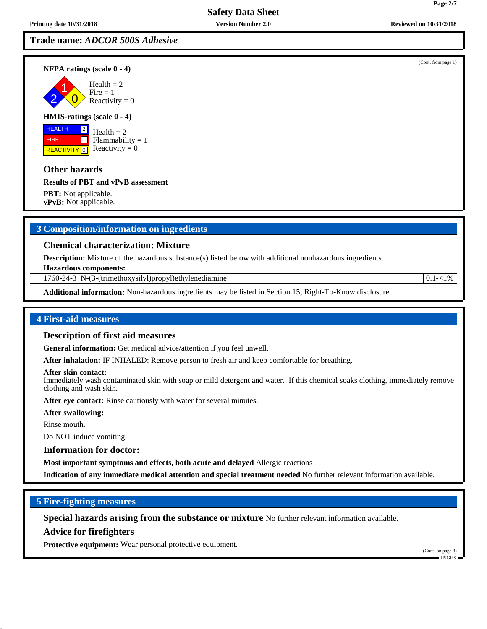2 1

# **Safety Data Sheet**

**Trade name:** *ADCOR 500S Adhesive*

**NFPA ratings (scale 0 - 4)**

 $\overline{\mathbf{0}}$  $Health = 2$  $Fire = 1$ Reactivity  $= 0$ 

#### **HMIS-ratings (scale 0 - 4)**

 HEALTH FIRE **REACTIVITY** 0 2  $\boxed{1}$ 

 $Health = 2$ Flammability  $= 1$ Reactivity  $= 0$ 

## **Other hazards**

## **Results of PBT and vPvB assessment**

**PBT:** Not applicable. **vPvB:** Not applicable.

# **3 Composition/information on ingredients**

## **Chemical characterization: Mixture**

**Description:** Mixture of the hazardous substance(s) listed below with additional nonhazardous ingredients.

**Hazardous components:**

1760-24-3 N-(3-(trimethoxysilyl)propyl)ethylenediamine 0.1-<1%

**Additional information:** Non-hazardous ingredients may be listed in Section 15; Right-To-Know disclosure.

## **4 First-aid measures**

## **Description of first aid measures**

**General information:** Get medical advice/attention if you feel unwell.

**After inhalation:** IF INHALED: Remove person to fresh air and keep comfortable for breathing.

#### **After skin contact:**

Immediately wash contaminated skin with soap or mild detergent and water. If this chemical soaks clothing, immediately remove clothing and wash skin.

**After eye contact:** Rinse cautiously with water for several minutes.

**After swallowing:**

Rinse mouth.

Do NOT induce vomiting.

**Information for doctor:**

**Most important symptoms and effects, both acute and delayed** Allergic reactions

**Indication of any immediate medical attention and special treatment needed** No further relevant information available.

## **5 Fire-fighting measures**

**Special hazards arising from the substance or mixture** No further relevant information available.

## **Advice for firefighters**

**Protective equipment:** Wear personal protective equipment.

(Cont. on page 3) USGHS

(Cont. from page 1)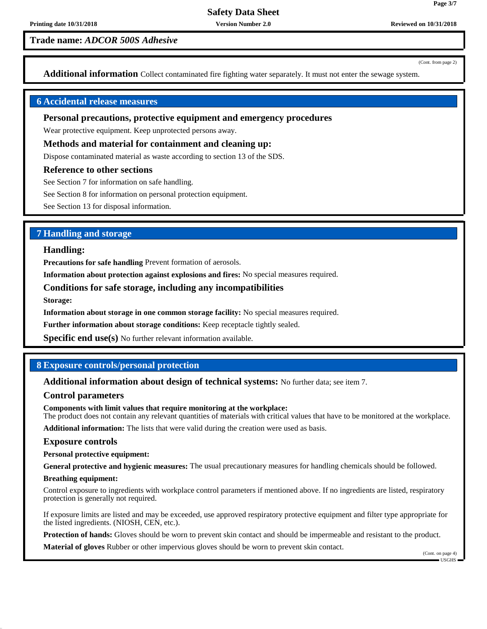**Trade name:** *ADCOR 500S Adhesive*

(Cont. from page 2)

**Page 3/7**

**Additional information** Collect contaminated fire fighting water separately. It must not enter the sewage system.

# **6 Accidental release measures**

## **Personal precautions, protective equipment and emergency procedures**

Wear protective equipment. Keep unprotected persons away.

#### **Methods and material for containment and cleaning up:**

Dispose contaminated material as waste according to section 13 of the SDS.

#### **Reference to other sections**

See Section 7 for information on safe handling.

See Section 8 for information on personal protection equipment.

See Section 13 for disposal information.

# **7 Handling and storage**

#### **Handling:**

**Precautions for safe handling** Prevent formation of aerosols.

**Information about protection against explosions and fires:** No special measures required.

## **Conditions for safe storage, including any incompatibilities**

**Storage:**

**Information about storage in one common storage facility:** No special measures required.

**Further information about storage conditions:** Keep receptacle tightly sealed.

**Specific end use(s)** No further relevant information available.

## **8 Exposure controls/personal protection**

**Additional information about design of technical systems:** No further data; see item 7.

### **Control parameters**

**Components with limit values that require monitoring at the workplace:** The product does not contain any relevant quantities of materials with critical values that have to be monitored at the workplace.

**Additional information:** The lists that were valid during the creation were used as basis.

### **Exposure controls**

**Personal protective equipment:**

**General protective and hygienic measures:** The usual precautionary measures for handling chemicals should be followed.

#### **Breathing equipment:**

Control exposure to ingredients with workplace control parameters if mentioned above. If no ingredients are listed, respiratory protection is generally not required.

If exposure limits are listed and may be exceeded, use approved respiratory protective equipment and filter type appropriate for the listed ingredients. (NIOSH, CEN, etc.).

**Protection of hands:** Gloves should be worn to prevent skin contact and should be impermeable and resistant to the product.

**Material of gloves** Rubber or other impervious gloves should be worn to prevent skin contact.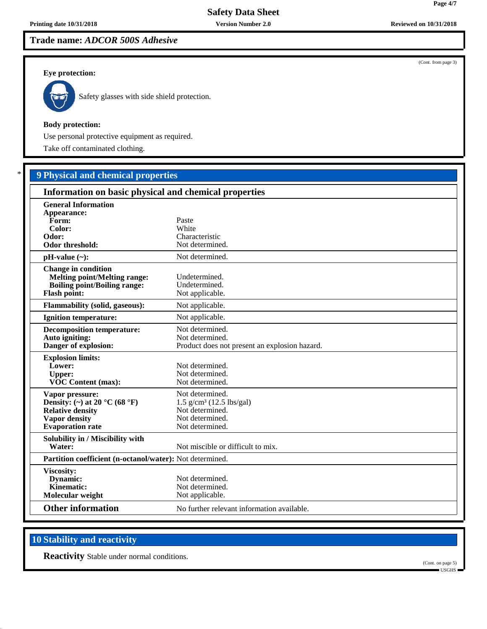# **Trade name:** *ADCOR 500S Adhesive*

## **Eye protection:**



Safety glasses with side shield protection.

## **Body protection:**

Use personal protective equipment as required.

Take off contaminated clothing.

# \* **9 Physical and chemical properties**

| Information on basic physical and chemical properties                                                                           |                                                                                                                    |
|---------------------------------------------------------------------------------------------------------------------------------|--------------------------------------------------------------------------------------------------------------------|
| <b>General Information</b><br>Appearance:<br>Form:<br>Color:<br>Odor:<br>Odor threshold:                                        | Paste<br>White<br>Characteristic<br>Not determined.                                                                |
| $pH-value (\sim):$                                                                                                              | Not determined.                                                                                                    |
| <b>Change in condition</b><br><b>Melting point/Melting range:</b><br><b>Boiling point/Boiling range:</b><br><b>Flash point:</b> | Undetermined.<br>Undetermined.<br>Not applicable.                                                                  |
| <b>Flammability (solid, gaseous):</b>                                                                                           | Not applicable.                                                                                                    |
| <b>Ignition temperature:</b>                                                                                                    | Not applicable.                                                                                                    |
| <b>Decomposition temperature:</b><br>Auto igniting:<br>Danger of explosion:                                                     | Not determined.<br>Not determined.<br>Product does not present an explosion hazard.                                |
| <b>Explosion limits:</b><br>Lower:<br><b>Upper:</b><br><b>VOC Content (max):</b>                                                | Not determined.<br>Not determined.<br>Not determined.                                                              |
| Vapor pressure:<br>Density: (~) at 20 °C (68 °F)<br><b>Relative density</b><br>Vapor density<br><b>Evaporation</b> rate         | Not determined.<br>$1.5$ g/cm <sup>3</sup> (12.5 lbs/gal)<br>Not determined.<br>Not determined.<br>Not determined. |
| Solubility in / Miscibility with<br>Water:                                                                                      | Not miscible or difficult to mix.                                                                                  |
| Partition coefficient (n-octanol/water): Not determined.                                                                        |                                                                                                                    |
| Viscosity:<br>Dynamic:<br>Kinematic:<br>Molecular weight                                                                        | Not determined.<br>Not determined.<br>Not applicable.                                                              |
| <b>Other information</b>                                                                                                        | No further relevant information available.                                                                         |

# **10 Stability and reactivity**

**Reactivity** Stable under normal conditions.

(Cont. from page 3)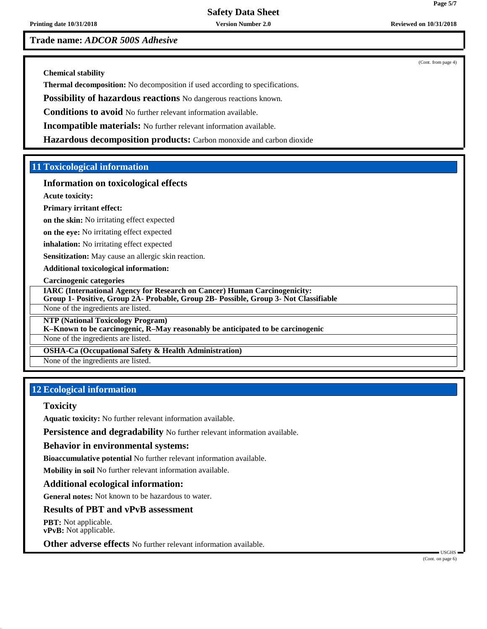**Printing date 10/31/2018 Version Number 2.0 Reviewed on 10/31/2018**

**Trade name:** *ADCOR 500S Adhesive*

(Cont. from page 4)

**Chemical stability**

**Thermal decomposition:** No decomposition if used according to specifications.

**Possibility of hazardous reactions** No dangerous reactions known.

**Conditions to avoid** No further relevant information available.

**Incompatible materials:** No further relevant information available.

**Hazardous decomposition products:** Carbon monoxide and carbon dioxide

# **11 Toxicological information**

## **Information on toxicological effects**

**Acute toxicity:**

### **Primary irritant effect:**

**on the skin:** No irritating effect expected

**on the eye:** No irritating effect expected

**inhalation:** No irritating effect expected

**Sensitization:** May cause an allergic skin reaction.

**Additional toxicological information:**

**Carcinogenic categories**

**IARC (International Agency for Research on Cancer) Human Carcinogenicity:**

**Group 1- Positive, Group 2A- Probable, Group 2B- Possible, Group 3- Not Classifiable**

None of the ingredients are listed.

**NTP (National Toxicology Program)**

**K–Known to be carcinogenic, R–May reasonably be anticipated to be carcinogenic**

None of the ingredients are listed.

**OSHA-Ca (Occupational Safety & Health Administration)**

None of the ingredients are listed.

# **12 Ecological information**

## **Toxicity**

**Aquatic toxicity:** No further relevant information available.

**Persistence and degradability** No further relevant information available.

### **Behavior in environmental systems:**

**Bioaccumulative potential** No further relevant information available.

**Mobility in soil** No further relevant information available.

### **Additional ecological information:**

**General notes:** Not known to be hazardous to water.

## **Results of PBT and vPvB assessment**

**PBT:** Not applicable. **vPvB:** Not applicable.

**Other adverse effects** No further relevant information available.

(Cont. on page 6)

USGHS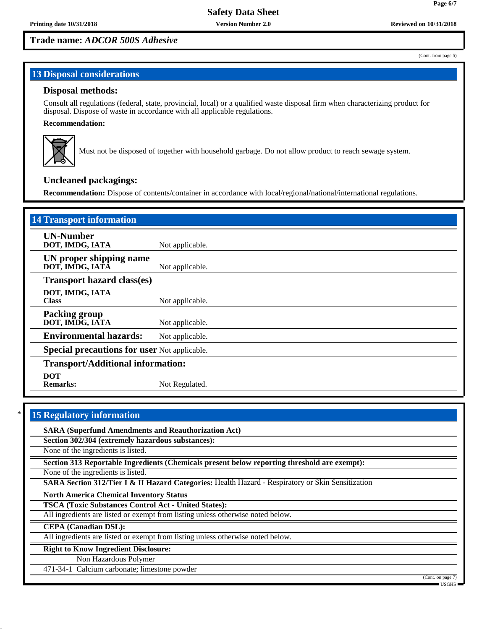**Page 6/7**

(Cont. from page 5)

# **Trade name:** *ADCOR 500S Adhesive*

# **13 Disposal considerations**

## **Disposal methods:**

Consult all regulations (federal, state, provincial, local) or a qualified waste disposal firm when characterizing product for disposal. Dispose of waste in accordance with all applicable regulations.

## **Recommendation:**



Must not be disposed of together with household garbage. Do not allow product to reach sewage system.

# **Uncleaned packagings:**

**Recommendation:** Dispose of contents/container in accordance with local/regional/national/international regulations.

| <b>14 Transport information</b>                     |                 |
|-----------------------------------------------------|-----------------|
| <b>UN-Number</b><br>DOT, IMDG, IATA                 | Not applicable. |
| UN proper shipping name<br>DOT, IMDG, IATA          | Not applicable. |
| <b>Transport hazard class(es)</b>                   |                 |
| DOT, IMDG, IATA<br><b>Class</b>                     | Not applicable. |
| <b>Packing group</b><br>DOT, IMDG, IATA             | Not applicable. |
| <b>Environmental hazards:</b>                       | Not applicable. |
| <b>Special precautions for user Not applicable.</b> |                 |
| <b>Transport/Additional information:</b>            |                 |
| <b>DOT</b><br><b>Remarks:</b>                       | Not Regulated.  |

# **15 Regulatory information SARA (Superfund Amendments and Reauthorization Act) Section 302/304 (extremely hazardous substances):** None of the ingredients is listed. **Section 313 Reportable Ingredients (Chemicals present below reporting threshold are exempt):** None of the ingredients is listed. **SARA Section 312/Tier I & II Hazard Categories:** Health Hazard - Respiratory or Skin Sensitization **North America Chemical Inventory Status TSCA (Toxic Substances Control Act - United States):** All ingredients are listed or exempt from listing unless otherwise noted below. **CEPA (Canadian DSL):** All ingredients are listed or exempt from listing unless otherwise noted below. **Right to Know Ingredient Disclosure:** Non Hazardous Polymer 471-34-1 Calcium carbonate; limestone powder (Cont. on page USGHS